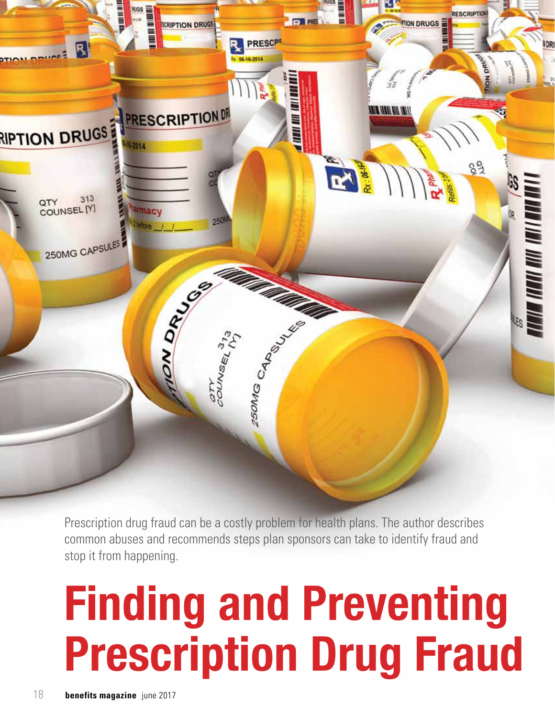

Prescription drug fraud can be a costly problem for health plans. The author describes common abuses and recommends steps plan sponsors can take to identify fraud and stop it from happening.

# **Finding and Preventing Prescription Drug Fraud**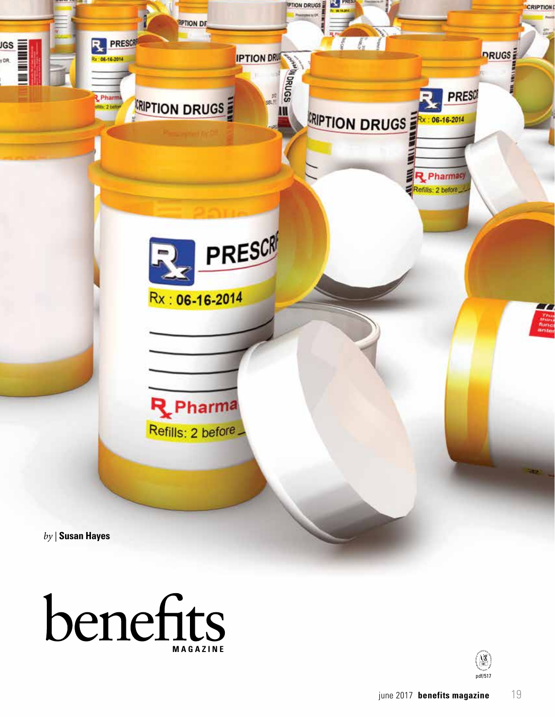



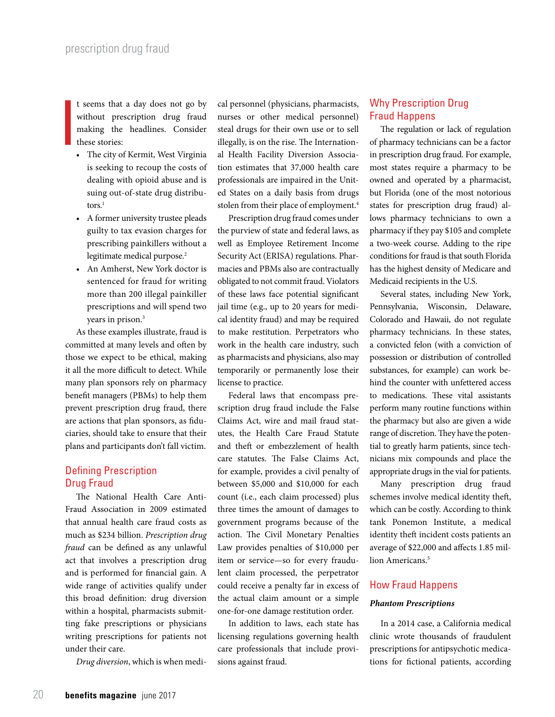I t seems that a day does not go by without prescription drug fraud making the headlines. Consider these stories:

- The city of Kermit, West Virginia is seeking to recoup the costs of dealing with opioid abuse and is suing out-of-state drug distributors.<sup>1</sup>
- A former university trustee pleads guilty to tax evasion charges for prescribing painkillers without a legitimate medical purpose.<sup>2</sup>
- An Amherst, New York doctor is sentenced for fraud for writing more than 200 illegal painkiller prescriptions and will spend two years in prison.<sup>3</sup>

As these examples illustrate, fraud is committed at many levels and often by those we expect to be ethical, making it all the more difficult to detect. While many plan sponsors rely on pharmacy benefit managers (PBMs) to help them prevent prescription drug fraud, there are actions that plan sponsors, as fiduciaries, should take to ensure that their plans and participants don't fall victim.

## Defining Prescription Drug Fraud

The National Health Care Anti-Fraud Association in 2009 estimated that annual health care fraud costs as much as \$234 billion. *Prescription drug fraud* can be defined as any unlawful act that involves a prescription drug and is performed for financial gain. A wide range of activities qualify under this broad definition: drug diversion within a hospital, pharmacists submitting fake prescriptions or physicians writing prescriptions for patients not under their care.

*Drug diversion*, which is when medi-

cal personnel (physicians, pharmacists, nurses or other medical personnel) steal drugs for their own use or to sell illegally, is on the rise. The International Health Facility Diversion Association estimates that 37,000 health care professionals are impaired in the United States on a daily basis from drugs stolen from their place of employment.<sup>4</sup>

Prescription drug fraud comes under the purview of state and federal laws, as well as Employee Retirement Income Security Act (ERISA) regulations. Pharmacies and PBMs also are contractually obligated to not commit fraud. Violators of these laws face potential significant jail time (e.g., up to 20 years for medical identity fraud) and may be required to make restitution. Perpetrators who work in the health care industry, such as pharmacists and physicians, also may temporarily or permanently lose their license to practice.

Federal laws that encompass prescription drug fraud include the False Claims Act, wire and mail fraud statutes, the Health Care Fraud Statute and theft or embezzlement of health care statutes. The False Claims Act, for example, provides a civil penalty of between \$5,000 and \$10,000 for each count (i.e., each claim processed) plus three times the amount of damages to government programs because of the action. The Civil Monetary Penalties Law provides penalties of \$10,000 per item or service—so for every fraudulent claim processed, the perpetrator could receive a penalty far in excess of the actual claim amount or a simple one-for-one damage restitution order.

In addition to laws, each state has licensing regulations governing health care professionals that include provisions against fraud.

# Why Prescription Drug Fraud Happens

The regulation or lack of regulation of pharmacy technicians can be a factor in prescription drug fraud. For example, most states require a pharmacy to be owned and operated by a pharmacist, but Florida (one of the most notorious states for prescription drug fraud) allows pharmacy technicians to own a pharmacy if they pay \$105 and complete a two-week course. Adding to the ripe conditions for fraud is that south Florida has the highest density of Medicare and Medicaid recipients in the U.S.

Several states, including New York, Pennsylvania, Wisconsin, Delaware, Colorado and Hawaii, do not regulate pharmacy technicians. In these states, a convicted felon (with a conviction of possession or distribution of controlled substances, for example) can work behind the counter with unfettered access to medications. These vital assistants perform many routine functions within the pharmacy but also are given a wide range of discretion. They have the potential to greatly harm patients, since technicians mix compounds and place the appropriate drugs in the vial for patients.

Many prescription drug fraud schemes involve medical identity theft, which can be costly. According to think tank Ponemon Institute, a medical identity theft incident costs patients an average of \$22,000 and affects 1.85 million Americans<sup>5</sup>

#### How Fraud Happens

#### *Phantom Prescriptions*

In a 2014 case, a California medical clinic wrote thousands of fraudulent prescriptions for antipsychotic medications for fictional patients, according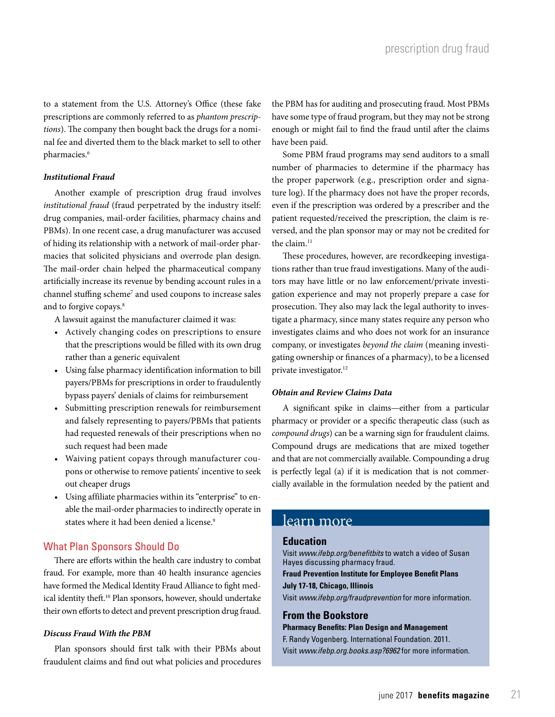to a statement from the U.S. Attorney's Office (these fake prescriptions are commonly referred to as *phantom prescriptions*). The company then bought back the drugs for a nominal fee and diverted them to the black market to sell to other pharmacies.<sup>6</sup>

#### *Institutional Fraud*

Another example of prescription drug fraud involves *institutional fraud* (fraud perpetrated by the industry itself: drug companies, mail-order facilities, pharmacy chains and PBMs). In one recent case, a drug manufacturer was accused of hiding its relationship with a network of mail-order pharmacies that solicited physicians and overrode plan design. The mail-order chain helped the pharmaceutical company artificially increase its revenue by bending account rules in a channel stuffing scheme<sup>7</sup> and used coupons to increase sales and to forgive copays.<sup>8</sup>

A lawsuit against the manufacturer claimed it was:

- Actively changing codes on prescriptions to ensure that the prescriptions would be filled with its own drug rather than a generic equivalent
- Using false pharmacy identification information to bill payers/PBMs for prescriptions in order to fraudulently bypass payers' denials of claims for reimbursement
- Submitting prescription renewals for reimbursement and falsely representing to payers/PBMs that patients had requested renewals of their prescriptions when no such request had been made
- Waiving patient copays through manufacturer coupons or otherwise to remove patients' incentive to seek out cheaper drugs
- Using affiliate pharmacies within its "enterprise" to enable the mail-order pharmacies to indirectly operate in states where it had been denied a license.<sup>9</sup>

#### What Plan Sponsors Should Do

There are efforts within the health care industry to combat fraud. For example, more than 40 health insurance agencies have formed the Medical Identity Fraud Alliance to fight medical identity theft.10 Plan sponsors, however, should undertake their own efforts to detect and prevent prescription drug fraud.

#### *Discuss Fraud With the PBM*

Plan sponsors should first talk with their PBMs about fraudulent claims and find out what policies and procedures

the PBM has for auditing and prosecuting fraud. Most PBMs have some type of fraud program, but they may not be strong enough or might fail to find the fraud until after the claims have been paid.

Some PBM fraud programs may send auditors to a small number of pharmacies to determine if the pharmacy has the proper paperwork (e.g., prescription order and signature log). If the pharmacy does not have the proper records, even if the prescription was ordered by a prescriber and the patient requested/received the prescription, the claim is reversed, and the plan sponsor may or may not be credited for the claim. $^{11}$ 

These procedures, however, are recordkeeping investigations rather than true fraud investigations. Many of the auditors may have little or no law enforcement/private investigation experience and may not properly prepare a case for prosecution. They also may lack the legal authority to investigate a pharmacy, since many states require any person who investigates claims and who does not work for an insurance company, or investigates *beyond the claim* (meaning investigating ownership or finances of a pharmacy), to be a licensed private investigator.<sup>12</sup>

#### *Obtain and Review Claims Data*

A significant spike in claims—either from a particular pharmacy or provider or a specific therapeutic class (such as *compound drugs*) can be a warning sign for fraudulent claims. Compound drugs are medications that are mixed together and that are not commercially available. Compounding a drug is perfectly legal (a) if it is medication that is not commercially available in the formulation needed by the patient and

### learn more

#### **Education**

Visit *www.ifebp.org/benefitbits* to watch a video of Susan Hayes discussing pharmacy fraud.

**Fraud Prevention Institute for Employee Benefit Plans July 17-18, Chicago, Illinois**

Visit *www.ifebp.org/fraudprevention* for more information.

#### **From the Bookstore Pharmacy Benefits: Plan Design and Management**

F. Randy Vogenberg. International Foundation. 2011. Visit *www.ifebp.org.books.asp?6962* for more information.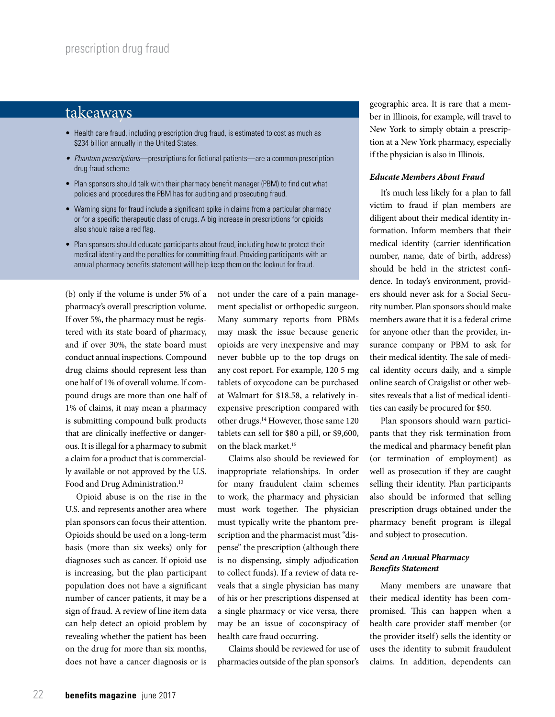# takeaways

- Health care fraud, including prescription drug fraud, is estimated to cost as much as \$234 billion annually in the United States.
- *• Phantom prescriptions*—prescriptions for fictional patients—are a common prescription drug fraud scheme.
- Plan sponsors should talk with their pharmacy benefit manager (PBM) to find out what policies and procedures the PBM has for auditing and prosecuting fraud.
- Warning signs for fraud include a significant spike in claims from a particular pharmacy or for a specific therapeutic class of drugs. A big increase in prescriptions for opioids also should raise a red flag.
- Plan sponsors should educate participants about fraud, including how to protect their medical identity and the penalties for committing fraud. Providing participants with an annual pharmacy benefits statement will help keep them on the lookout for fraud.

(b) only if the volume is under 5% of a pharmacy's overall prescription volume. If over 5%, the pharmacy must be registered with its state board of pharmacy, and if over 30%, the state board must conduct annual inspections. Compound drug claims should represent less than one half of 1% of overall volume. If compound drugs are more than one half of 1% of claims, it may mean a pharmacy is submitting compound bulk products that are clinically ineffective or dangerous. It is illegal for a pharmacy to submit a claim for a product that is commercially available or not approved by the U.S. Food and Drug Administration.<sup>13</sup>

Opioid abuse is on the rise in the U.S. and represents another area where plan sponsors can focus their attention. Opioids should be used on a long-term basis (more than six weeks) only for diagnoses such as cancer. If opioid use is increasing, but the plan participant population does not have a significant number of cancer patients, it may be a sign of fraud. A review of line item data can help detect an opioid problem by revealing whether the patient has been on the drug for more than six months, does not have a cancer diagnosis or is

not under the care of a pain management specialist or orthopedic surgeon. Many summary reports from PBMs may mask the issue because generic opioids are very inexpensive and may never bubble up to the top drugs on any cost report. For example, 120 5 mg tablets of oxycodone can be purchased at Walmart for \$18.58, a relatively inexpensive prescription compared with other drugs.14 However, those same 120 tablets can sell for \$80 a pill, or \$9,600, on the black market.15

Claims also should be reviewed for inappropriate relationships. In order for many fraudulent claim schemes to work, the pharmacy and physician must work together. The physician must typically write the phantom prescription and the pharmacist must "dispense" the prescription (although there is no dispensing, simply adjudication to collect funds). If a review of data reveals that a single physician has many of his or her prescriptions dispensed at a single pharmacy or vice versa, there may be an issue of coconspiracy of health care fraud occurring.

Claims should be reviewed for use of pharmacies outside of the plan sponsor's

geographic area. It is rare that a member in Illinois, for example, will travel to New York to simply obtain a prescription at a New York pharmacy, especially if the physician is also in Illinois.

#### *Educate Members About Fraud*

It's much less likely for a plan to fall victim to fraud if plan members are diligent about their medical identity information. Inform members that their medical identity (carrier identification number, name, date of birth, address) should be held in the strictest confidence. In today's environment, providers should never ask for a Social Security number. Plan sponsors should make members aware that it is a federal crime for anyone other than the provider, insurance company or PBM to ask for their medical identity. The sale of medical identity occurs daily, and a simple online search of Craigslist or other websites reveals that a list of medical identities can easily be procured for \$50.

Plan sponsors should warn participants that they risk termination from the medical and pharmacy benefit plan (or termination of employment) as well as prosecution if they are caught selling their identity. Plan participants also should be informed that selling prescription drugs obtained under the pharmacy benefit program is illegal and subject to prosecution.

#### *Send an Annual Pharmacy Benefits Statement*

Many members are unaware that their medical identity has been compromised. This can happen when a health care provider staff member (or the provider itself) sells the identity or uses the identity to submit fraudulent claims. In addition, dependents can